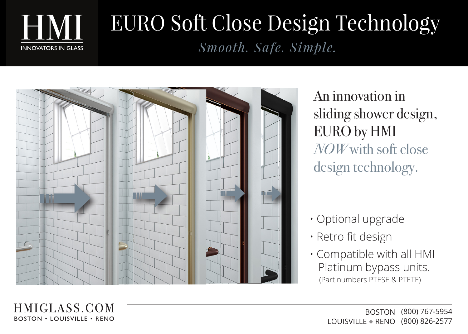

HMIGLASS.COM **BOSTON • LOUISVILLE • RENO** 

## EURO Soft Close Design Technology *Smooth. Safe. Simple.*



An innovation in sliding shower design, EURO by HMI *NOW* with soft close design technology.

- Optional upgrade
- Retro fit design
- Compatible with all HMI Platinum bypass units. (Part numbers PTESE & PTETE)